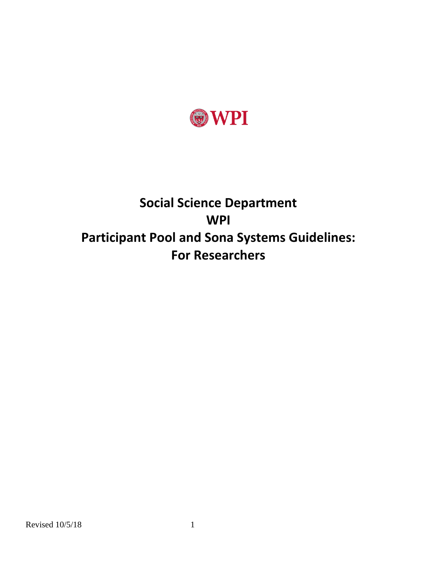

# **Social Science Department WPI Participant Pool and Sona Systems Guidelines: For Researchers**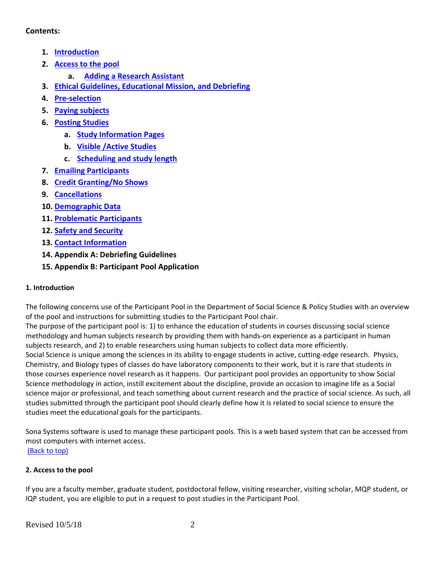## <span id="page-1-2"></span>**Contents:**

- **1. [Introduction](#page-1-0)**
- **2. [Access to the pool](#page-1-1)**
	- **a. [Adding a Research Assistant](#page-2-0)**
- **3. [Ethical Guidelines, Educational Mission, and Debriefing](#page-2-1)**
- **4. [Pre-selection](#page-3-0)**
- **5. [Paying subjects](#page-4-0)**
- **6. [Posting Studies](#page-4-1)**
	- **a. [Study Information Pages](#page-4-2)**
	- **b. [Visible /Active Studies](#page-4-3)**
	- **c. [Scheduling and study length](#page-4-4)**
- **7. [Emailing Participants](#page-5-0)**
- **8. [Credit Granting/No Shows](#page-5-1)**
- **9. [Cancellations](#page-5-2)**
- **10. [Demographic Data](#page-6-0)**
- **11. [Problematic Participants](#page-6-1)**
- **12. [Safety and Security](#page-6-2)**
- **13. [Contact Information](#page-6-3)**
- **14. Appendix A: Debriefing Guidelines**
- **15. Appendix B: Participant Pool Application**

# <span id="page-1-0"></span>**1. Introduction**

The following concerns use of the Participant Pool in the Department of Social Science & Policy Studies with an overview of the pool and instructions for submitting studies to the Participant Pool chair.

The purpose of the participant pool is: 1) to enhance the education of students in courses discussing social science methodology and human subjects research by providing them with hands-on experience as a participant in human subjects research, and 2) to enable researchers using human subjects to collect data more efficiently. Social Science is unique among the sciences in its ability to engage students in active, cutting-edge research. Physics, Chemistry, and Biology types of classes do have laboratory components to their work, but it is rare that students in those courses experience novel research as it happens. Our participant pool provides an opportunity to show Social Science methodology in action, instill excitement about the discipline, provide an occasion to imagine life as a Social science major or professional, and teach something about current research and the practice of social science. As such, all studies submitted through the participant pool should clearly define how it is related to social science to ensure the studies meet the educational goals for the participants.

Sona Systems software is used to manage these participant pools. This is a web based system that can be accessed from most computers with internet access. [\(Back to top\)](#page-1-2)

<span id="page-1-1"></span>**2. Access to the pool**

If you are a faculty member, graduate student, postdoctoral fellow, visiting researcher, visiting scholar, MQP student, or IQP student, you are eligible to put in a request to post studies in the Participant Pool.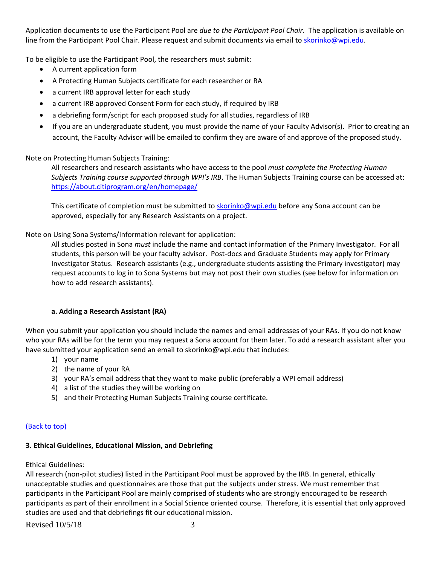Application documents to use the Participant Pool are *due to the Participant Pool Chair.* The application is available on line from the Participant Pool Chair. Please request and submit documents via email to [skorinko@wpi.edu.](mailto:hscoordinator@lists.stanford.edu)

To be eligible to use the Participant Pool, the researchers must submit:

- A current application form
- A Protecting Human Subjects certificate for each researcher or RA
- a current IRB approval letter for each study
- a current IRB approved Consent Form for each study, if required by IRB
- a debriefing form/script for each proposed study for all studies, regardless of IRB
- If you are an undergraduate student, you must provide the name of your Faculty Advisor(s). Prior to creating an account, the Faculty Advisor will be emailed to confirm they are aware of and approve of the proposed study.

### Note on Protecting Human Subjects Training:

All researchers and research assistants who have access to the pool *must complete the Protecting Human Subjects Training course supported through WPI's IRB*. The Human Subjects Training course can be accessed at: https://about.citiprogram.org/en/homepage/

This certificate of completion must be submitted to [skorinko@wpi.edu](mailto:amfoster@stanford.edu) before any Sona account can be approved, especially for any Research Assistants on a project.

Note on Using Sona Systems/Information relevant for application:

All studies posted in Sona *must* include the name and contact information of the Primary Investigator. For all students, this person will be your faculty advisor. Post-docs and Graduate Students may apply for Primary Investigator Status. Research assistants (e.g., undergraduate students assisting the Primary investigator) may request accounts to log in to Sona Systems but may not post their own studies (see below for information on how to add research assistants).

#### **a. Adding a Research Assistant (RA)**

<span id="page-2-0"></span>When you submit your application you should include the names and email addresses of your RAs. If you do not know who your RAs will be for the term you may request a Sona account for them later. To add a research assistant after you have submitted your application send an email to skorinko@wpi.edu that includes:

- 1) your name
- 2) the name of your RA
- 3) your RA's email address that they want to make public (preferably a WPI email address)
- 4) a list of the studies they will be working on
- 5) and their Protecting Human Subjects Training course certificate.

# [\(Back to top\)](#page-1-2)

# <span id="page-2-1"></span>**3. Ethical Guidelines, Educational Mission, and Debriefing**

Ethical Guidelines:

All research (non-pilot studies) listed in the Participant Pool must be approved by the IRB. In general, ethically unacceptable studies and questionnaires are those that put the subjects under stress. We must remember that participants in the Participant Pool are mainly comprised of students who are strongly encouraged to be research participants as part of their enrollment in a Social Science oriented course. Therefore, it is essential that only approved studies are used and that debriefings fit our educational mission.

Revised  $10/5/18$  3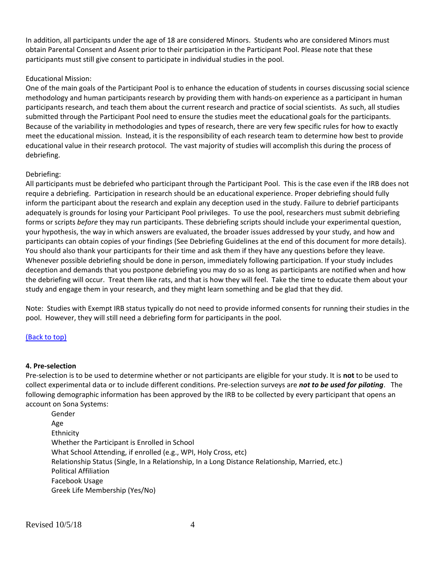In addition, all participants under the age of 18 are considered Minors. Students who are considered Minors must obtain Parental Consent and Assent prior to their participation in the Participant Pool. Please note that these participants must still give consent to participate in individual studies in the pool.

#### Educational Mission:

One of the main goals of the Participant Pool is to enhance the education of students in courses discussing social science methodology and human participants research by providing them with hands-on experience as a participant in human participants research, and teach them about the current research and practice of social scientists. As such, all studies submitted through the Participant Pool need to ensure the studies meet the educational goals for the participants. Because of the variability in methodologies and types of research, there are very few specific rules for how to exactly meet the educational mission. Instead, it is the responsibility of each research team to determine how best to provide educational value in their research protocol. The vast majority of studies will accomplish this during the process of debriefing.

#### Debriefing:

All participants must be debriefed who participant through the Participant Pool. This is the case even if the IRB does not require a debriefing. Participation in research should be an educational experience. Proper debriefing should fully inform the participant about the research and explain any deception used in the study. Failure to debrief participants adequately is grounds for losing your Participant Pool privileges. To use the pool, researchers must submit debriefing forms or scripts *before* they may run participants. These debriefing scripts should include your experimental question, your hypothesis, the way in which answers are evaluated, the broader issues addressed by your study, and how and participants can obtain copies of your findings (See Debriefing Guidelines at the end of this document for more details). You should also thank your participants for their time and ask them if they have any questions before they leave. Whenever possible debriefing should be done in person, immediately following participation. If your study includes deception and demands that you postpone debriefing you may do so as long as participants are notified when and how the debriefing will occur. Treat them like rats, and that is how they will feel. Take the time to educate them about your study and engage them in your research, and they might learn something and be glad that they did.

Note: Studies with Exempt IRB status typically do not need to provide informed consents for running their studies in the pool. However, they will still need a debriefing form for participants in the pool.

#### [\(Back to top\)](#page-1-2)

#### <span id="page-3-0"></span>**4. Pre-selection**

Pre-selection is to be used to determine whether or not participants are eligible for your study. It is **not** to be used to collect experimental data or to include different conditions. Pre-selection surveys are *not to be used for piloting*. The following demographic information has been approved by the IRB to be collected by every participant that opens an account on Sona Systems:

Gender Age Ethnicity Whether the Participant is Enrolled in School What School Attending, if enrolled (e.g., WPI, Holy Cross, etc) Relationship Status (Single, In a Relationship, In a Long Distance Relationship, Married, etc.) Political Affiliation Facebook Usage Greek Life Membership (Yes/No)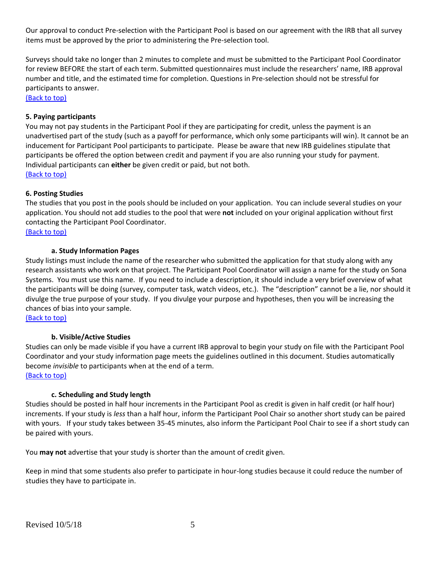Our approval to conduct Pre-selection with the Participant Pool is based on our agreement with the IRB that all survey items must be approved by the prior to administering the Pre-selection tool.

Surveys should take no longer than 2 minutes to complete and must be submitted to the Participant Pool Coordinator for review BEFORE the start of each term. Submitted questionnaires must include the researchers' name, IRB approval number and title, and the estimated time for completion. Questions in Pre-selection should not be stressful for participants to answer.

[\(Back to top\)](#page-1-2)

#### <span id="page-4-0"></span>**5. Paying participants**

You may not pay students in the Participant Pool if they are participating for credit, unless the payment is an unadvertised part of the study (such as a payoff for performance, which only some participants will win). It cannot be an inducement for Participant Pool participants to participate. Please be aware that new IRB guidelines stipulate that participants be offered the option between credit and payment if you are also running your study for payment. Individual participants can **either** be given credit or paid, but not both. [\(Back to top\)](#page-1-2)

#### <span id="page-4-1"></span>**6. Posting Studies**

The studies that you post in the pools should be included on your application. You can include several studies on your application. You should not add studies to the pool that were **not** included on your original application without first contacting the Participant Pool Coordinator.

[\(Back to top\)](#page-1-2)

#### **a. Study Information Pages**

<span id="page-4-2"></span>Study listings must include the name of the researcher who submitted the application for that study along with any research assistants who work on that project. The Participant Pool Coordinator will assign a name for the study on Sona Systems. You must use this name. If you need to include a description, it should include a very brief overview of what the participants will be doing (survey, computer task, watch videos, etc.). The "description" cannot be a lie, nor should it divulge the true purpose of your study. If you divulge your purpose and hypotheses, then you will be increasing the chances of bias into your sample.

[\(Back to top\)](#page-1-2)

#### **b. Visible/Active Studies**

<span id="page-4-3"></span>Studies can only be made visible if you have a current IRB approval to begin your study on file with the Participant Pool Coordinator and your study information page meets the guidelines outlined in this document. Studies automatically become *invisible* to participants when at the end of a term. [\(Back to top\)](#page-1-2)

#### <span id="page-4-4"></span>**c. Scheduling and Study length**

Studies should be posted in half hour increments in the Participant Pool as credit is given in half credit (or half hour) increments. If your study is *less* than a half hour, inform the Participant Pool Chair so another short study can be paired with yours. If your study takes between 35-45 minutes, also inform the Participant Pool Chair to see if a short study can be paired with yours.

You **may not** advertise that your study is shorter than the amount of credit given.

Keep in mind that some students also prefer to participate in hour-long studies because it could reduce the number of studies they have to participate in.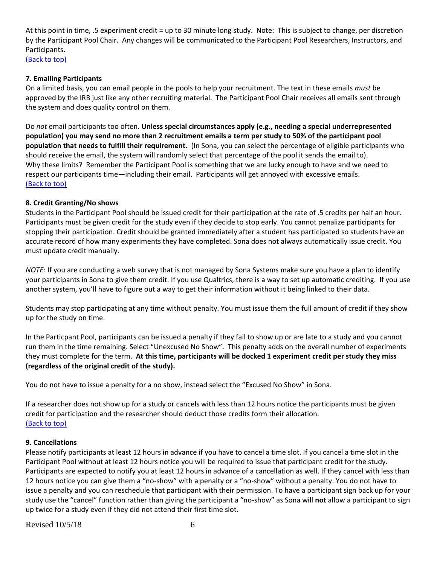At this point in time, .5 experiment credit = up to 30 minute long study. Note: This is subject to change, per discretion by the Participant Pool Chair. Any changes will be communicated to the Participant Pool Researchers, Instructors, and Participants.

[\(Back to top\)](#page-1-2)

#### <span id="page-5-0"></span>**7. Emailing Participants**

On a limited basis, you can email people in the pools to help your recruitment. The text in these emails *must* be approved by the IRB just like any other recruiting material. The Participant Pool Chair receives all emails sent through the system and does quality control on them.

Do *not* email participants too often. **Unless special circumstances apply (e.g., needing a special underrepresented population) you may send no more than 2 recruitment emails a term per study to 50% of the participant pool population that needs to fulfill their requirement.** (In Sona, you can select the percentage of eligible participants who should receive the email, the system will randomly select that percentage of the pool it sends the email to). Why these limits? Remember the Participant Pool is something that we are lucky enough to have and we need to respect our participants time—including their email. Participants will get annoyed with excessive emails. [\(Back to top\)](#page-1-2)

#### <span id="page-5-1"></span>**8. Credit Granting/No shows**

Students in the Participant Pool should be issued credit for their participation at the rate of .5 credits per half an hour. Participants must be given credit for the study even if they decide to stop early. You cannot penalize participants for stopping their participation. Credit should be granted immediately after a student has participated so students have an accurate record of how many experiments they have completed. Sona does not always automatically issue credit. You must update credit manually.

*NOTE:* If you are conducting a web survey that is not managed by Sona Systems make sure you have a plan to identify your participants in Sona to give them credit. If you use Qualtrics, there is a way to set up automatic crediting. If you use another system, you'll have to figure out a way to get their information without it being linked to their data.

Students may stop participating at any time without penalty. You must issue them the full amount of credit if they show up for the study on time.

In the Particpant Pool, participants can be issued a penalty if they fail to show up or are late to a study and you cannot run them in the time remaining. Select "Unexcused No Show". This penalty adds on the overall number of experiments they must complete for the term. **At this time, participants will be docked 1 experiment credit per study they miss (regardless of the original credit of the study).**

You do not have to issue a penalty for a no show, instead select the "Excused No Show" in Sona.

If a researcher does not show up for a study or cancels with less than 12 hours notice the participants must be given credit for participation and the researcher should deduct those credits form their allocation. [\(Back to top\)](#page-1-2)

#### <span id="page-5-2"></span>**9. Cancellations**

Please notify participants at least 12 hours in advance if you have to cancel a time slot. If you cancel a time slot in the Participant Pool without at least 12 hours notice you will be required to issue that participant credit for the study. Participants are expected to notify you at least 12 hours in advance of a cancellation as well. If they cancel with less than 12 hours notice you can give them a "no-show" with a penalty or a "no-show" without a penalty. You do not have to issue a penalty and you can reschedule that participant with their permission. To have a participant sign back up for your study use the "cancel" function rather than giving the participant a "no-show" as Sona will **not** allow a participant to sign up twice for a study even if they did not attend their first time slot.

Revised  $10/5/18$  6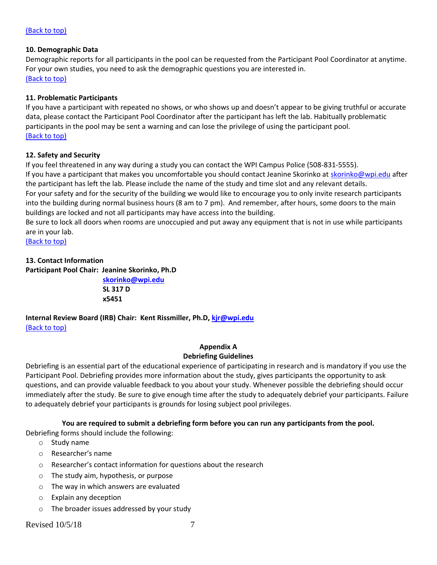#### [\(Back to top\)](#page-1-2)

#### <span id="page-6-0"></span>**10. Demographic Data**

Demographic reports for all participants in the pool can be requested from the Participant Pool Coordinator at anytime. For your own studies, you need to ask the demographic questions you are interested in. [\(Back to top\)](#page-1-2)

#### <span id="page-6-1"></span>**11. Problematic Participants**

If you have a participant with repeated no shows, or who shows up and doesn't appear to be giving truthful or accurate data, please contact the Participant Pool Coordinator after the participant has left the lab. Habitually problematic participants in the pool may be sent a warning and can lose the privilege of using the participant pool. [\(Back to top\)](#page-1-2)

#### <span id="page-6-2"></span>**12. Safety and Security**

If you feel threatened in any way during a study you can contact the WPI Campus Police (508-831-5555). If you have a participant that makes you uncomfortable you should contact Jeanine Skorinko at [skorinko@wpi.edu](mailto:skorinko@wpi.edu) after the participant has left the lab. Please include the name of the study and time slot and any relevant details. For your safety and for the security of the building we would like to encourage you to only invite research participants into the building during normal business hours (8 am to 7 pm). And remember, after hours, some doors to the main

buildings are locked and not all participants may have access into the building.

Be sure to lock all doors when rooms are unoccupied and put away any equipment that is not in use while participants are in your lab.

[\(Back to top\)](#page-1-2)

#### <span id="page-6-3"></span>**13. Contact Information**

**Participant Pool Chair: Jeanine Skorinko, Ph.D**

**[skorinko@wpi.edu](mailto:skorinko@wpi.edu)**

**SL 317 D x5451**

**Internal Review Board (IRB) Chair: Kent Rissmiller, Ph.D, [kjr@wpi.edu](mailto:kjr@wpi.edu)** [\(Back to top\)](#page-1-2)

#### **Appendix A Debriefing Guidelines**

Debriefing is an essential part of the educational experience of participating in research and is mandatory if you use the Participant Pool. Debriefing provides more information about the study, gives participants the opportunity to ask questions, and can provide valuable feedback to you about your study. Whenever possible the debriefing should occur immediately after the study. Be sure to give enough time after the study to adequately debrief your participants. Failure to adequately debrief your participants is grounds for losing subject pool privileges.

#### **You are required to submit a debriefing form before you can run any participants from the pool.**

Debriefing forms should include the following:

- o Study name
- o Researcher's name
- o Researcher's contact information for questions about the research
- o The study aim, hypothesis, or purpose
- o The way in which answers are evaluated
- o Explain any deception
- o The broader issues addressed by your study

#### Revised  $10/5/18$  7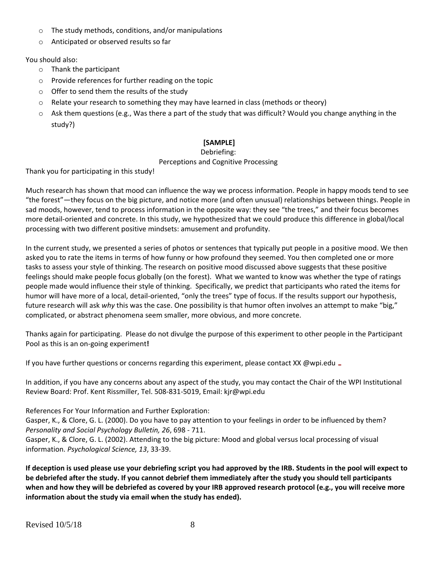- o The study methods, conditions, and/or manipulations
- o Anticipated or observed results so far

You should also:

- o Thank the participant
- o Provide references for further reading on the topic
- o Offer to send them the results of the study
- o Relate your research to something they may have learned in class (methods or theory)
- o Ask them questions (e.g., Was there a part of the study that was difficult? Would you change anything in the study?)

# **[SAMPLE]**

#### Debriefing: Perceptions and Cognitive Processing

Thank you for participating in this study!

Much research has shown that mood can influence the way we process information. People in happy moods tend to see "the forest"—they focus on the big picture, and notice more (and often unusual) relationships between things. People in sad moods, however, tend to process information in the opposite way: they see "the trees," and their focus becomes more detail-oriented and concrete. In this study, we hypothesized that we could produce this difference in global/local processing with two different positive mindsets: amusement and profundity.

In the current study, we presented a series of photos or sentences that typically put people in a positive mood. We then asked you to rate the items in terms of how funny or how profound they seemed. You then completed one or more tasks to assess your style of thinking. The research on positive mood discussed above suggests that these positive feelings should make people focus globally (on the forest). What we wanted to know was whether the type of ratings people made would influence their style of thinking. Specifically, we predict that participants who rated the items for humor will have more of a local, detail-oriented, "only the trees" type of focus. If the results support our hypothesis, future research will ask *why* this was the case. One possibility is that humor often involves an attempt to make "big," complicated, or abstract phenomena seem smaller, more obvious, and more concrete.

Thanks again for participating. Please do not divulge the purpose of this experiment to other people in the Participant Pool as this is an on-going experiment**!**

If you have further questions or concerns regarding this experiment, please contact XX @wpi.edu \_

In addition, if you have any concerns about any aspect of the study, you may contact the Chair of the WPI Institutional Review Board: Prof. Kent Rissmiller, Tel. 508-831-5019, Email: kjr@wpi.edu

References For Your Information and Further Exploration:

Gasper, K., & Clore, G. L. (2000). Do you have to pay attention to your feelings in order to be influenced by them? *Personality and Social Psychology Bulletin, 26*, 698 - 711.

Gasper, K., & Clore, G. L. (2002). Attending to the big picture: Mood and global versus local processing of visual information. *Psychological Science, 13*, 33-39.

**If deception is used please use your debriefing script you had approved by the IRB. Students in the pool will expect to be debriefed after the study. If you cannot debrief them immediately after the study you should tell participants when and how they will be debriefed as covered by your IRB approved research protocol (e.g., you will receive more information about the study via email when the study has ended).**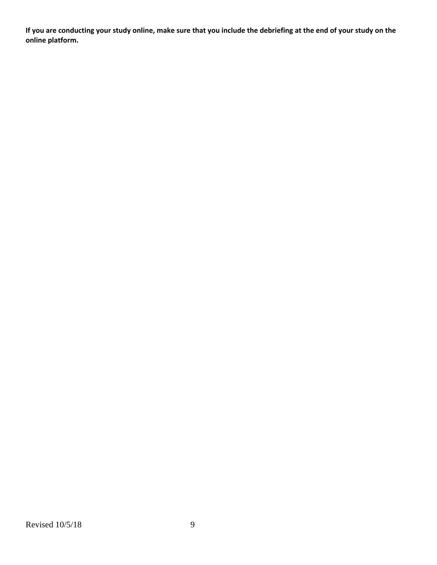**If you are conducting your study online, make sure that you include the debriefing at the end of your study on the online platform.**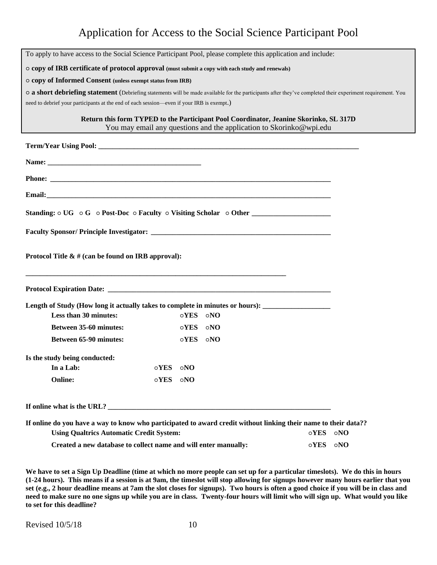# Application for Access to the Social Science Participant Pool

| To apply to have access to the Social Science Participant Pool, please complete this application and include:                                                      |                      |             |             |                                                                     |             |            |  |
|--------------------------------------------------------------------------------------------------------------------------------------------------------------------|----------------------|-------------|-------------|---------------------------------------------------------------------|-------------|------------|--|
| o copy of IRB certificate of protocol approval (must submit a copy with each study and renewals)                                                                   |                      |             |             |                                                                     |             |            |  |
| o copy of Informed Consent (unless exempt status from IRB)                                                                                                         |                      |             |             |                                                                     |             |            |  |
| o a short debriefing statement (Debriefing statements will be made available for the participants after they've completed their experiment requirement. You        |                      |             |             |                                                                     |             |            |  |
| need to debrief your participants at the end of each session-even if your IRB is exempt.)                                                                          |                      |             |             |                                                                     |             |            |  |
| Return this form TYPED to the Participant Pool Coordinator, Jeanine Skorinko, SL 317D                                                                              |                      |             |             | You may email any questions and the application to Skorinko@wpi.edu |             |            |  |
|                                                                                                                                                                    |                      |             |             |                                                                     |             |            |  |
|                                                                                                                                                                    |                      |             |             |                                                                     |             |            |  |
|                                                                                                                                                                    |                      |             |             |                                                                     |             |            |  |
|                                                                                                                                                                    |                      |             |             |                                                                     |             |            |  |
| Standing: $\circ$ UG $\circ$ G $\circ$ Post-Doc $\circ$ Faculty $\circ$ Visiting Scholar $\circ$ Other                                                             |                      |             |             |                                                                     |             |            |  |
|                                                                                                                                                                    |                      |             |             |                                                                     |             |            |  |
| Protocol Title $\&$ # (can be found on IRB approval):                                                                                                              |                      |             |             |                                                                     |             |            |  |
|                                                                                                                                                                    |                      |             |             |                                                                     |             |            |  |
| Length of Study (How long it actually takes to complete in minutes or hours): _____________________                                                                |                      |             |             |                                                                     |             |            |  |
| Less than 30 minutes:                                                                                                                                              |                      | oYES ONO    |             |                                                                     |             |            |  |
| <b>Between 35-60 minutes:</b>                                                                                                                                      |                      | $\circ$ YES | $\circ$ NO  |                                                                     |             |            |  |
| Between 65-90 minutes:                                                                                                                                             |                      | $\circ$ YES | $\circ$ NO  |                                                                     |             |            |  |
| Is the study being conducted:                                                                                                                                      |                      |             |             |                                                                     |             |            |  |
| In a Lab:                                                                                                                                                          | $\circ \mathbf{YES}$ | $\circ$ NO  |             |                                                                     |             |            |  |
| <b>Online:</b>                                                                                                                                                     | $\circ$ YES          | $\circ$ NO  |             |                                                                     |             |            |  |
| If online what is the URL? $\overline{\phantom{a}}$                                                                                                                |                      |             |             |                                                                     |             |            |  |
| If online do you have a way to know who participated to award credit without linking their name to their data??<br><b>Using Qualtrics Automatic Credit System:</b> |                      |             |             |                                                                     | $\circ$ YES | $\circ$ NO |  |
| Created a new database to collect name and will enter manually:                                                                                                    |                      |             | $\circ$ YES | $\circ$ NO                                                          |             |            |  |

**We have to set a Sign Up Deadline (time at which no more people can set up for a particular timeslots). We do this in hours (1-24 hours). This means if a session is at 9am, the timeslot will stop allowing for signups however many hours earlier that you set (e.g., 2 hour deadline means at 7am the slot closes for signups). Two hours is often a good choice if you will be in class and need to make sure no one signs up while you are in class. Twenty-four hours will limit who will sign up. What would you like to set for this deadline?**